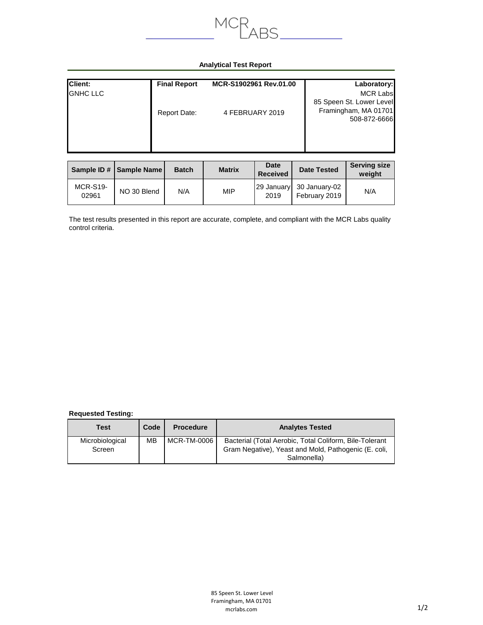

## **Analytical Test Report**

| Client:          | <b>Final Report</b> | MCR-S1902961 Rev.01.00 | Laboratory:                                                                         |
|------------------|---------------------|------------------------|-------------------------------------------------------------------------------------|
| <b>IGNHC LLC</b> | Report Date:        | 4 FEBRUARY 2019        | <b>MCR Labs</b><br>85 Speen St. Lower Level<br>Framingham, MA 01701<br>508-872-6666 |

|                          | Sample ID #   Sample Name | <b>Batch</b> | <b>Matrix</b> | <b>Date</b><br><b>Received</b> | <b>Date Tested</b>             | <b>Serving size</b><br>weight |
|--------------------------|---------------------------|--------------|---------------|--------------------------------|--------------------------------|-------------------------------|
| <b>MCR-S19-</b><br>02961 | NO 30 Blend               | N/A          | <b>MIP</b>    | 29 January<br>2019             | 30 January-02<br>February 2019 | N/A                           |

The test results presented in this report are accurate, complete, and compliant with the MCR Labs quality control criteria.

## **Requested Testing:**

| Test                      | Code | <b>Procedure</b> | <b>Analytes Tested</b>                                                                                                         |
|---------------------------|------|------------------|--------------------------------------------------------------------------------------------------------------------------------|
| Microbiological<br>Screen | MВ   | MCR-TM-0006      | Bacterial (Total Aerobic, Total Coliform, Bile-Tolerant<br>Gram Negative), Yeast and Mold, Pathogenic (E. coli,<br>Salmonella) |